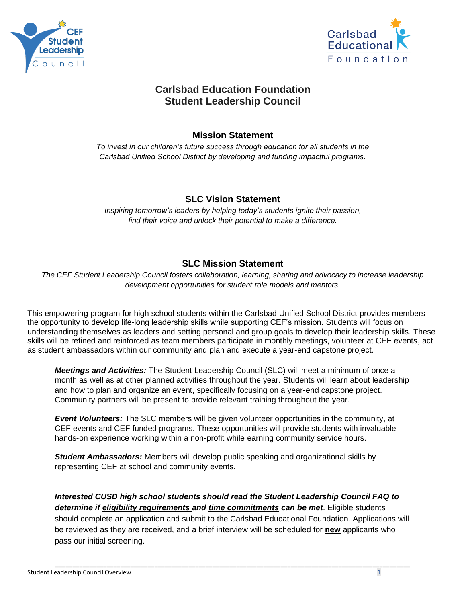



# **Carlsbad Education Foundation Student Leadership Council**

### **Mission Statement**

*To invest in our children's future success through education for all students in the Carlsbad Unified School District by developing and funding impactful programs.*

### **SLC Vision Statement**

*Inspiring tomorrow's leaders by helping today's students ignite their passion, find their voice and unlock their potential to make a difference.*

## **SLC Mission Statement**

*The CEF Student Leadership Council fosters collaboration, learning, sharing and advocacy to increase leadership development opportunities for student role models and mentors.*

This empowering program for high school students within the Carlsbad Unified School District provides members the opportunity to develop life-long leadership skills while supporting CEF's mission. Students will focus on understanding themselves as leaders and setting personal and group goals to develop their leadership skills. These skills will be refined and reinforced as team members participate in monthly meetings, volunteer at CEF events, act as student ambassadors within our community and plan and execute a year-end capstone project.

*Meetings and Activities:* The Student Leadership Council (SLC) will meet a minimum of once a month as well as at other planned activities throughout the year. Students will learn about leadership and how to plan and organize an event, specifically focusing on a year-end capstone project. Community partners will be present to provide relevant training throughout the year.

*Event Volunteers:* The SLC members will be given volunteer opportunities in the community, at CEF events and CEF funded programs. These opportunities will provide students with invaluable hands-on experience working within a non-profit while earning community service hours.

*Student Ambassadors:* Members will develop public speaking and organizational skills by representing CEF at school and community events.

*Interested CUSD high school students should read the Student Leadership Council FAQ to determine if eligibility requirements and time commitments can be met*. Eligible students should complete an application and submit to the Carlsbad Educational Foundation. Applications will be reviewed as they are received, and a brief interview will be scheduled for **new** applicants who pass our initial screening.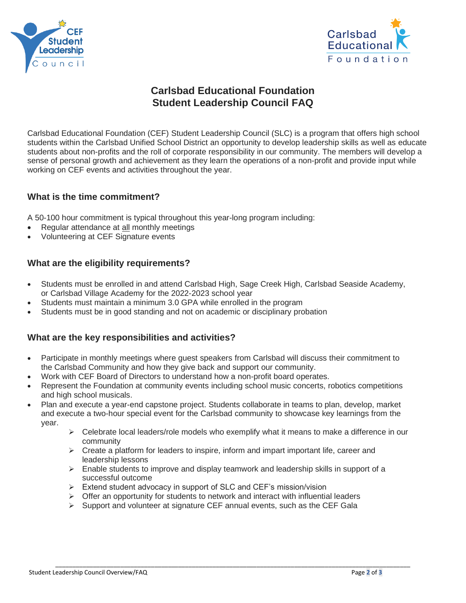



# **Carlsbad Educational Foundation Student Leadership Council FAQ**

Carlsbad Educational Foundation (CEF) Student Leadership Council (SLC) is a program that offers high school students within the Carlsbad Unified School District an opportunity to develop leadership skills as well as educate students about non-profits and the roll of corporate responsibility in our community. The members will develop a sense of personal growth and achievement as they learn the operations of a non-profit and provide input while working on CEF events and activities throughout the year.

#### **What is the time commitment?**

A 50-100 hour commitment is typical throughout this year-long program including:

- Regular attendance at all monthly meetings
- Volunteering at CEF Signature events

#### **What are the eligibility requirements?**

- Students must be enrolled in and attend Carlsbad High, Sage Creek High, Carlsbad Seaside Academy, or Carlsbad Village Academy for the 2022-2023 school year
- Students must maintain a minimum 3.0 GPA while enrolled in the program
- Students must be in good standing and not on academic or disciplinary probation

#### **What are the key responsibilities and activities?**

- Participate in monthly meetings where guest speakers from Carlsbad will discuss their commitment to the Carlsbad Community and how they give back and support our community.
- Work with CEF Board of Directors to understand how a non-profit board operates.
- Represent the Foundation at community events including school music concerts, robotics competitions and high school musicals.
- Plan and execute a year-end capstone project. Students collaborate in teams to plan, develop, market and execute a two-hour special event for the Carlsbad community to showcase key learnings from the year.
	- $\triangleright$  Celebrate local leaders/role models who exemplify what it means to make a difference in our community
	- $\triangleright$  Create a platform for leaders to inspire, inform and impart important life, career and leadership lessons
	- ➢ Enable students to improve and display teamwork and leadership skills in support of a successful outcome

\_\_\_\_\_\_\_\_\_\_\_\_\_\_\_\_\_\_\_\_\_\_\_\_\_\_\_\_\_\_\_\_\_\_\_\_\_\_\_\_\_\_\_\_\_\_\_\_\_\_\_\_\_\_\_\_\_\_\_\_\_\_\_\_\_\_\_\_\_\_\_\_\_\_\_\_\_\_\_\_\_\_\_\_\_\_\_\_\_\_\_\_\_\_\_\_\_\_\_\_\_\_\_\_

- ➢ Extend student advocacy in support of SLC and CEF's mission/vision
- $\triangleright$  Offer an opportunity for students to network and interact with influential leaders
- $\triangleright$  Support and volunteer at signature CEF annual events, such as the CEF Gala